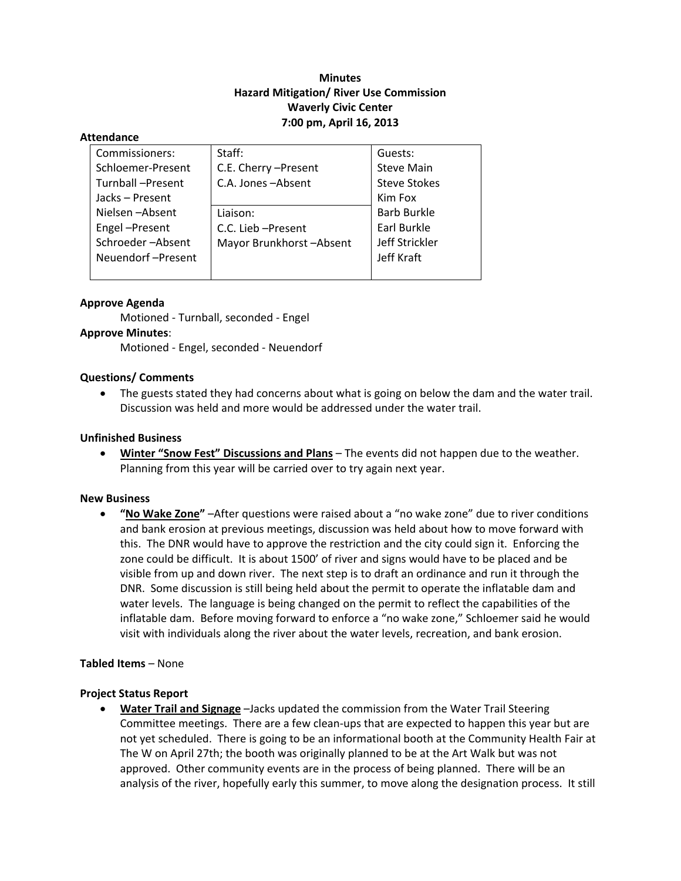# **Minutes Hazard Mitigation/ River Use Commission Waverly Civic Center 7:00 pm, April 16, 2013**

#### **Attendance**

| Commissioners:    | Staff:                  | Guests:             |
|-------------------|-------------------------|---------------------|
| Schloemer-Present | C.E. Cherry - Present   | <b>Steve Main</b>   |
| Turnball-Present  | C.A. Jones-Absent       | <b>Steve Stokes</b> |
| Jacks - Present   |                         | Kim Fox             |
| Nielsen-Absent    | Liaison:                | <b>Barb Burkle</b>  |
| Engel-Present     | C.C. Lieb - Present     | Earl Burkle         |
| Schroeder-Absent  | Mayor Brunkhorst-Absent | Jeff Strickler      |
| Neuendorf-Present |                         | Jeff Kraft          |
|                   |                         |                     |

# **Approve Agenda**

Motioned ‐ Turnball, seconded ‐ Engel

### **Approve Minutes**:

Motioned ‐ Engel, seconded ‐ Neuendorf

### **Questions/ Comments**

• The guests stated they had concerns about what is going on below the dam and the water trail. Discussion was held and more would be addressed under the water trail.

### **Unfinished Business**

 **Winter "Snow Fest" Discussions and Plans** – The events did not happen due to the weather. Planning from this year will be carried over to try again next year.

#### **New Business**

 **"No Wake Zone"** –After questions were raised about a "no wake zone" due to river conditions and bank erosion at previous meetings, discussion was held about how to move forward with this. The DNR would have to approve the restriction and the city could sign it. Enforcing the zone could be difficult. It is about 1500' of river and signs would have to be placed and be visible from up and down river. The next step is to draft an ordinance and run it through the DNR. Some discussion is still being held about the permit to operate the inflatable dam and water levels. The language is being changed on the permit to reflect the capabilities of the inflatable dam. Before moving forward to enforce a "no wake zone," Schloemer said he would visit with individuals along the river about the water levels, recreation, and bank erosion.

# **Tabled Items** – None

# **Project Status Report**

 **Water Trail and Signage** –Jacks updated the commission from the Water Trail Steering Committee meetings. There are a few clean‐ups that are expected to happen this year but are not yet scheduled. There is going to be an informational booth at the Community Health Fair at The W on April 27th; the booth was originally planned to be at the Art Walk but was not approved. Other community events are in the process of being planned. There will be an analysis of the river, hopefully early this summer, to move along the designation process. It still